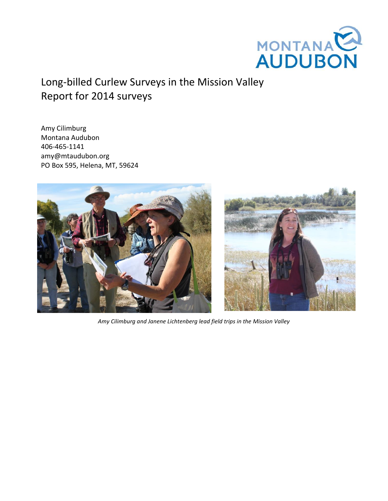

## Long-billed Curlew Surveys in the Mission Valley Report for 2014 surveys

Amy Cilimburg Montana Audubon 406-465-1141 amy@mtaudubon.org PO Box 595, Helena, MT, 59624





*Amy Cilimburg and Janene Lichtenberg lead field trips in the Mission Valley*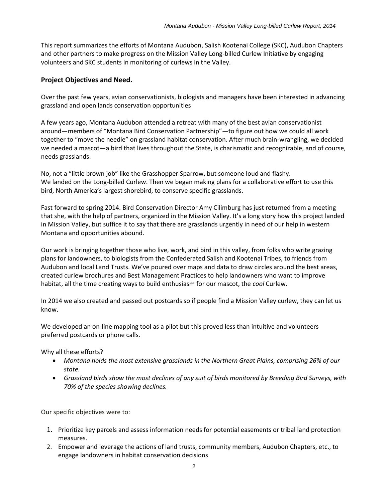This report summarizes the efforts of Montana Audubon, Salish Kootenai College (SKC), Audubon Chapters and other partners to make progress on the Mission Valley Long-billed Curlew Initiative by engaging volunteers and SKC students in monitoring of curlews in the Valley.

## **Project Objectives and Need.**

Over the past few years, avian conservationists, biologists and managers have been interested in advancing grassland and open lands conservation opportunities

A few years ago, Montana Audubon attended a retreat with many of the best avian conservationist around—members of "Montana Bird Conservation Partnership"—to figure out how we could all work together to "move the needle" on grassland habitat conservation. After much brain-wrangling, we decided we needed a mascot—a bird that lives throughout the State, is charismatic and recognizable, and of course, needs grasslands.

No, not a "little brown job" like the Grasshopper Sparrow, but someone loud and flashy. We landed on the Long-billed Curlew. Then we began making plans for a collaborative effort to use this bird, North America's largest shorebird, to conserve specific grasslands.

Fast forward to spring 2014. Bird Conservation Director Amy Cilimburg has just returned from a meeting that she, with the help of partners, organized in the Mission Valley. It's a long story how this project landed in Mission Valley, but suffice it to say that there are grasslands urgently in need of our help in western Montana and opportunities abound.

Our work is bringing together those who live, work, and bird in this valley, from folks who write grazing plans for landowners, to biologists from the Confederated Salish and Kootenai Tribes, to friends from Audubon and local Land Trusts. We've poured over maps and data to draw circles around the best areas, created curlew brochures and Best Management Practices to help landowners who want to improve habitat, all the time creating ways to build enthusiasm for our mascot, the *cool* Curlew.

In 2014 we also created and passed out postcards so if people find a Mission Valley curlew, they can let us know.

We developed an on-line mapping tool as a pilot but this proved less than intuitive and volunteers preferred postcards or phone calls.

Why all these efforts?

- *Montana holds the most extensive grasslands in the Northern Great Plains, comprising 26% of our state.*
- *Grassland birds show the most declines of any suit of birds monitored by Breeding Bird Surveys, with 70% of the species showing declines.*

Our specific objectives were to:

- 1. Prioritize key parcels and assess information needs for potential easements or tribal land protection measures.
- 2. Empower and leverage the actions of land trusts, community members, Audubon Chapters, etc., to engage landowners in habitat conservation decisions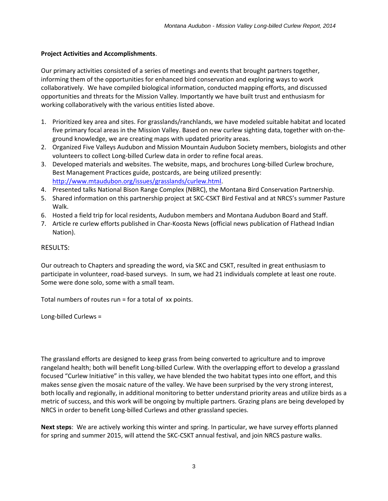## **Project Activities and Accomplishments**.

Our primary activities consisted of a series of meetings and events that brought partners together, informing them of the opportunities for enhanced bird conservation and exploring ways to work collaboratively. We have compiled biological information, conducted mapping efforts, and discussed opportunities and threats for the Mission Valley. Importantly we have built trust and enthusiasm for working collaboratively with the various entities listed above.

- 1. Prioritized key area and sites. For grasslands/ranchlands, we have modeled suitable habitat and located five primary focal areas in the Mission Valley. Based on new curlew sighting data, together with on-theground knowledge, we are creating maps with updated priority areas.
- 2. Organized Five Valleys Audubon and Mission Mountain Audubon Society members, biologists and other volunteers to collect Long-billed Curlew data in order to refine focal areas.
- 3. Developed materials and websites. The website, maps, and brochures Long-billed Curlew brochure, Best Management Practices guide, postcards, are being utilized presently: [http://www.mtaudubon.org/issues/grasslands/curlew.html.](http://www.mtaudubon.org/issues/grasslands/curlew.html)
- 4. Presented talks National Bison Range Complex (NBRC), the Montana Bird Conservation Partnership.
- 5. Shared information on this partnership project at SKC-CSKT Bird Festival and at NRCS's summer Pasture Walk.
- 6. Hosted a field trip for local residents, Audubon members and Montana Audubon Board and Staff.
- 7. Article re curlew efforts published in Char-Koosta News (official news publication of Flathead Indian Nation).

## RESULTS:

Our outreach to Chapters and spreading the word, via SKC and CSKT, resulted in great enthusiasm to participate in volunteer, road-based surveys. In sum, we had 21 individuals complete at least one route. Some were done solo, some with a small team.

Total numbers of routes run = for a total of xx points.

Long-billed Curlews =

The grassland efforts are designed to keep grass from being converted to agriculture and to improve rangeland health; both will benefit Long-billed Curlew. With the overlapping effort to develop a grassland focused "Curlew Initiative" in this valley, we have blended the two habitat types into one effort, and this makes sense given the mosaic nature of the valley. We have been surprised by the very strong interest, both locally and regionally, in additional monitoring to better understand priority areas and utilize birds as a metric of success, and this work will be ongoing by multiple partners. Grazing plans are being developed by NRCS in order to benefit Long-billed Curlews and other grassland species.

**Next steps**: We are actively working this winter and spring. In particular, we have survey efforts planned for spring and summer 2015, will attend the SKC-CSKT annual festival, and join NRCS pasture walks.